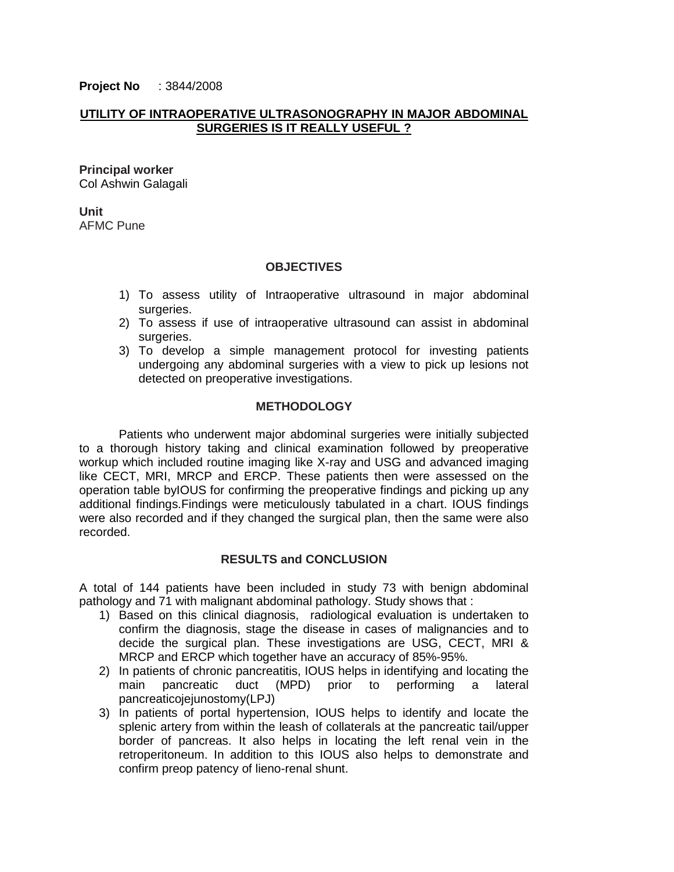**Project No** : 3844/2008

## **UTILITY OF INTRAOPERATIVE ULTRASONOGRAPHY IN MAJOR ABDOMINAL SURGERIES IS IT REALLY USEFUL ?**

**Principal worker** Col Ashwin Galagali

**Unit** AFMC Pune

## **OBJECTIVES**

- 1) To assess utility of Intraoperative ultrasound in major abdominal surgeries.
- 2) To assess if use of intraoperative ultrasound can assist in abdominal surgeries.
- 3) To develop a simple management protocol for investing patients undergoing any abdominal surgeries with a view to pick up lesions not detected on preoperative investigations.

## **METHODOLOGY**

Patients who underwent major abdominal surgeries were initially subjected to a thorough history taking and clinical examination followed by preoperative workup which included routine imaging like X-ray and USG and advanced imaging like CECT, MRI, MRCP and ERCP. These patients then were assessed on the operation table byIOUS for confirming the preoperative findings and picking up any additional findings.Findings were meticulously tabulated in a chart. IOUS findings were also recorded and if they changed the surgical plan, then the same were also recorded.

## **RESULTS and CONCLUSION**

A total of 144 patients have been included in study 73 with benign abdominal pathology and 71 with malignant abdominal pathology. Study shows that :

- 1) Based on this clinical diagnosis, radiological evaluation is undertaken to confirm the diagnosis, stage the disease in cases of malignancies and to decide the surgical plan. These investigations are USG, CECT, MRI & MRCP and ERCP which together have an accuracy of 85%-95%.
- 2) In patients of chronic pancreatitis, IOUS helps in identifying and locating the main pancreatic duct (MPD) prior to performing a lateral pancreaticojejunostomy(LPJ)
- 3) In patients of portal hypertension, IOUS helps to identify and locate the splenic artery from within the leash of collaterals at the pancreatic tail/upper border of pancreas. It also helps in locating the left renal vein in the retroperitoneum. In addition to this IOUS also helps to demonstrate and confirm preop patency of lieno-renal shunt.